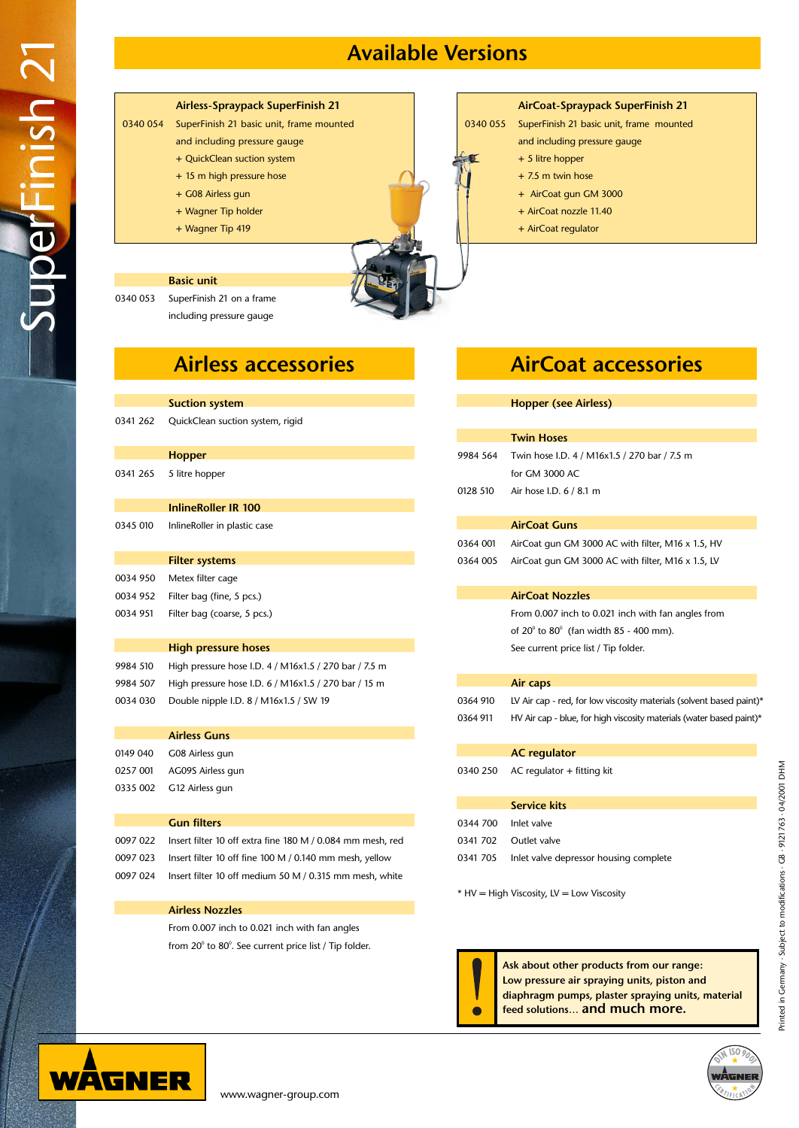# **Available Versions**



#### **AirCoat-Spraypack SuperFinish 21**

- 0340 055 SuperFinish 21 basic unit, frame mounted
	- and including pressure gauge
	- + 5 litre hopper
	- + 7.5 m twin hose
	- + AirCoat gun GM 3000
	- + AirCoat nozzle 11.40
	- + AirCoat regulator

|          | <b>Hopper (see Airless)</b>                                          |  |
|----------|----------------------------------------------------------------------|--|
|          |                                                                      |  |
|          | <b>Twin Hoses</b>                                                    |  |
| 9984 564 | Twin hose I.D. 4 / M16x1.5 / 270 bar / 7.5 m                         |  |
|          | for GM 3000 AC                                                       |  |
| 0128 510 | Air hose I.D. 6 / 8.1 m                                              |  |
|          |                                                                      |  |
|          | <b>AirCoat Guns</b>                                                  |  |
| 0364 001 | AirCoat gun GM 3000 AC with filter, M16 x 1.5, HV                    |  |
| 0364 005 | AirCoat gun GM 3000 AC with filter, M16 x 1.5, LV                    |  |
|          |                                                                      |  |
|          | <b>AirCoat Nozzles</b>                                               |  |
|          | From 0.007 inch to 0.021 inch with fan angles from                   |  |
|          | of $20^{\circ}$ to $80^{\circ}$ (fan width 85 - 400 mm).             |  |
|          | See current price list / Tip folder.                                 |  |
|          |                                                                      |  |
|          | Air caps                                                             |  |
| 0364 910 | LV Air cap - red, for low viscosity materials (solvent based paint)* |  |
| 0364 911 | HV Air cap - blue, for high viscosity materials (water based paint)* |  |
|          |                                                                      |  |
|          | <b>AC</b> regulator                                                  |  |
| 0340 250 | $AC$ regulator + fitting kit                                         |  |
|          |                                                                      |  |
|          | <b>Service kits</b>                                                  |  |
| 0344 700 | Inlet valve                                                          |  |
| 0341 702 | Outlet valve                                                         |  |
| 0341 705 | Inlet valve depressor housing complete                               |  |
|          |                                                                      |  |
|          | * HV = High Viscosity, LV = Low Viscosity                            |  |





SuperFinish 21

oerFinish 2

From 0.007 inch to 0.021 inch with fan angles from 20 $^{\rm o}$  to 80 $^{\rm o}$ . See current price list / Tip folder.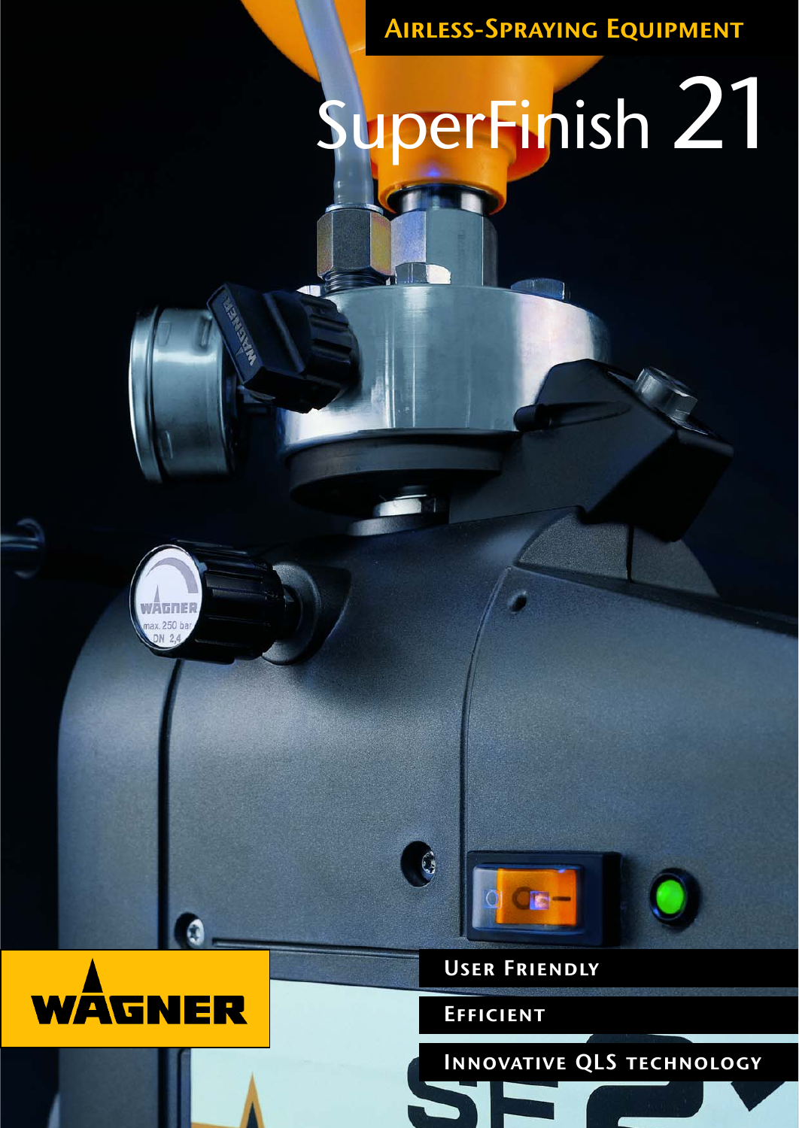**Airless-Spraying Equipment**

# SuperFinish 21









**User Friendly**

**Efficient**

**Innovative QLS technology**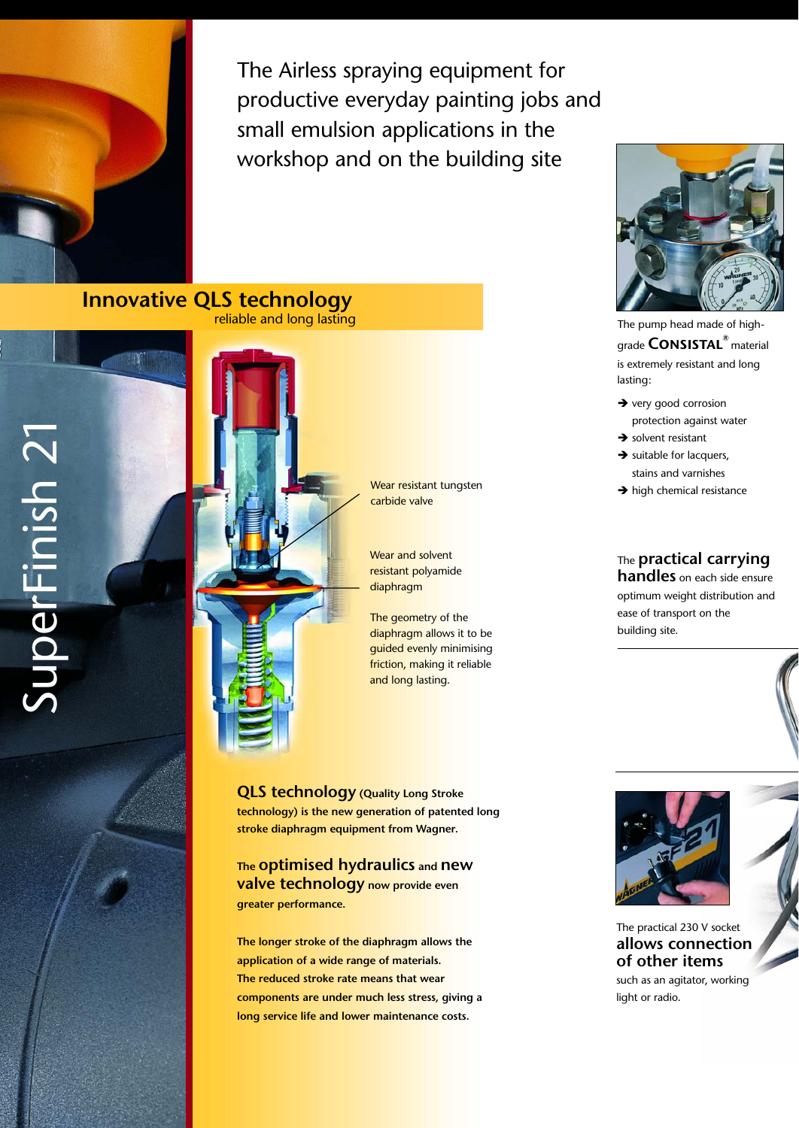

The Airless spraying equipment for productive everyday painting jobs and small emulsion applications in the workshop and on the building site

**Innovative QLS technology**<br>reliable and long lasting



Wear resistant tungsten carbide valve

Wear and solvent resistant polyamide diaphragm

The geometry of the <mark>diaphragm allows</mark> it to be <mark>guided evenly mini</mark>mising <mark>friction, making it r</mark>eliable and long lasting.

**able of the Congression Congress**<br>**stroke diaphragm equipment from Wagner. die neue Generation der patentierten Langhub-QLS technology (Quality Long Stroke technology) is the new generation of patented long**

**Membran-Technologie von Wagner. The optimised hydraulics and new greater performance.**<br>**greater performance. valve technology now provide even** 

**Ventiltechnik sorgen für noch mehr Leistung.** 

**application of a wide range of materials. The reduced stroke rate means that wear components are under much less stress, giving a long service life and lower maintenance costs. beansprucht und bieten eine lange Lebens-The longer stroke of the diaphragm allows the**



The pump head made of highgrade **Consistal®** material is extremely resistant and long lasting:

- $\rightarrow$  very good corrosion protection against water
- $\rightarrow$  solvent resistant
- $\rightarrow$  suitable for lacquers, stains and varnishes
- $\rightarrow$  high chemical resistance

# The **practical carrying**

**handles** on each side ensure optimum weight distribution and ease of transport on the building site.



The practical 230 V socket **allows connection of other items**

such as an agitator, working light or radio.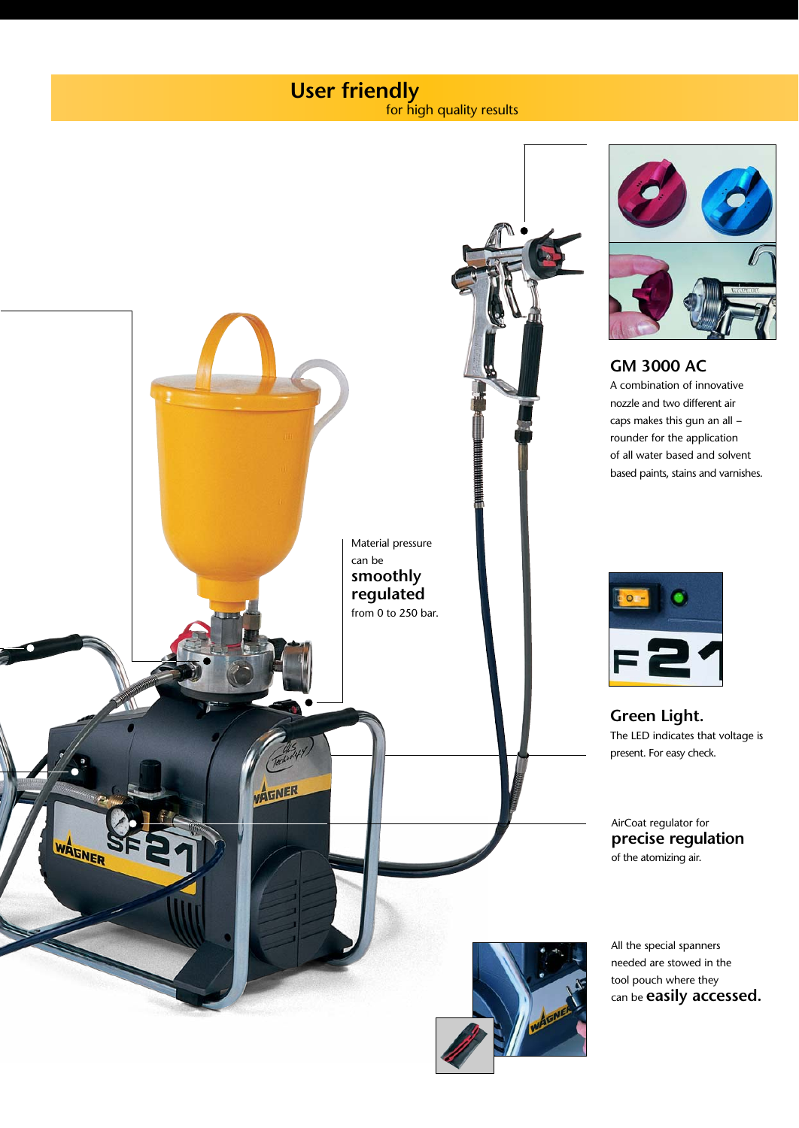## **User friendly** for high quality results

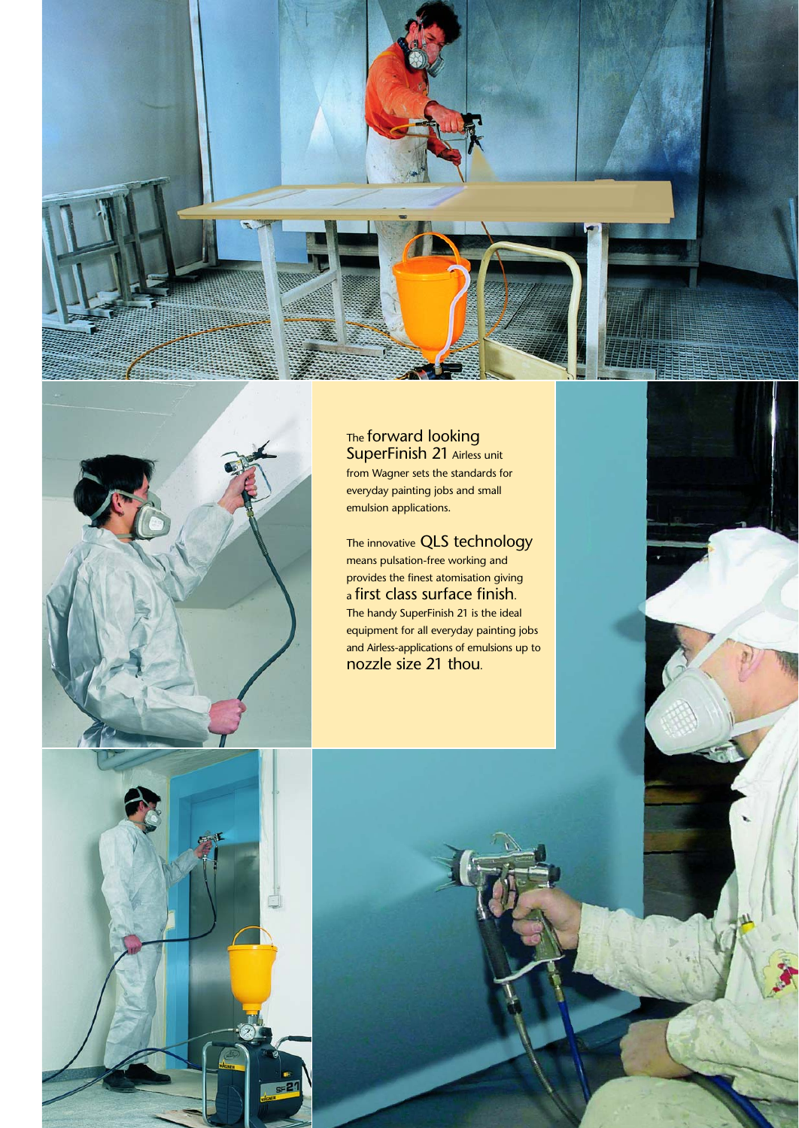



The forward looking SuperFinish 21 Airless unit from Wagner sets the standards for everyday painting jobs and small emulsion applications.

The innovative QLS technology means pulsation-free working and provides the finest atomisation giving a first class surface finish. The handy SuperFinish 21 is the ideal equipment for all everyday painting jobs and Airless-applications of emulsions up to nozzle size 21 thou.